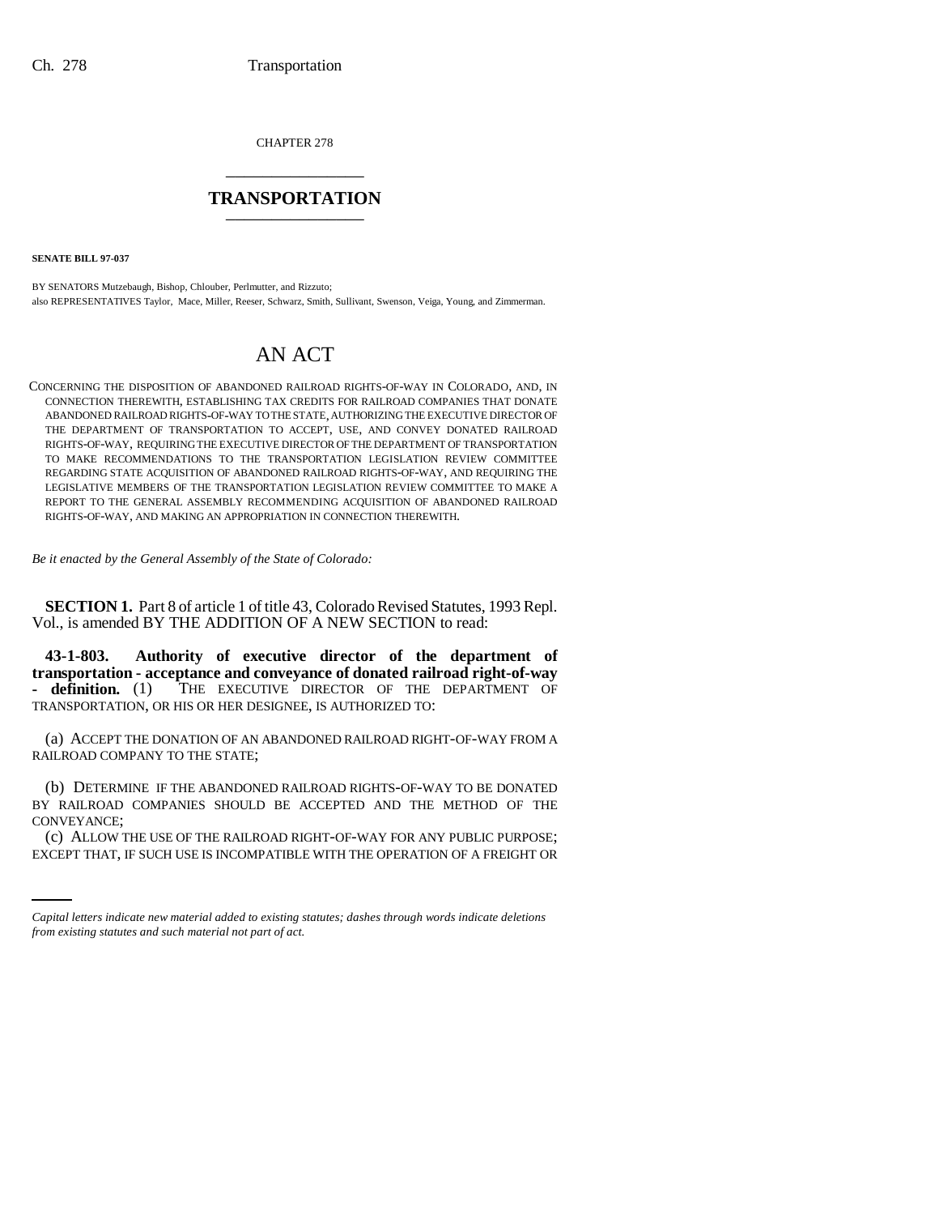CHAPTER 278 \_\_\_\_\_\_\_\_\_\_\_\_\_\_\_

# **TRANSPORTATION** \_\_\_\_\_\_\_\_\_\_\_\_\_\_\_

**SENATE BILL 97-037**

BY SENATORS Mutzebaugh, Bishop, Chlouber, Perlmutter, and Rizzuto; also REPRESENTATIVES Taylor, Mace, Miller, Reeser, Schwarz, Smith, Sullivant, Swenson, Veiga, Young, and Zimmerman.

# AN ACT

CONCERNING THE DISPOSITION OF ABANDONED RAILROAD RIGHTS-OF-WAY IN COLORADO, AND, IN CONNECTION THEREWITH, ESTABLISHING TAX CREDITS FOR RAILROAD COMPANIES THAT DONATE ABANDONED RAILROAD RIGHTS-OF-WAY TO THE STATE, AUTHORIZING THE EXECUTIVE DIRECTOR OF THE DEPARTMENT OF TRANSPORTATION TO ACCEPT, USE, AND CONVEY DONATED RAILROAD RIGHTS-OF-WAY, REQUIRING THE EXECUTIVE DIRECTOR OF THE DEPARTMENT OF TRANSPORTATION TO MAKE RECOMMENDATIONS TO THE TRANSPORTATION LEGISLATION REVIEW COMMITTEE REGARDING STATE ACQUISITION OF ABANDONED RAILROAD RIGHTS-OF-WAY, AND REQUIRING THE LEGISLATIVE MEMBERS OF THE TRANSPORTATION LEGISLATION REVIEW COMMITTEE TO MAKE A REPORT TO THE GENERAL ASSEMBLY RECOMMENDING ACQUISITION OF ABANDONED RAILROAD RIGHTS-OF-WAY, AND MAKING AN APPROPRIATION IN CONNECTION THEREWITH.

*Be it enacted by the General Assembly of the State of Colorado:*

**SECTION 1.** Part 8 of article 1 of title 43, Colorado Revised Statutes, 1993 Repl. Vol., is amended BY THE ADDITION OF A NEW SECTION to read:

**43-1-803. Authority of executive director of the department of transportation - acceptance and conveyance of donated railroad right-of-way - definition.** (1) THE EXECUTIVE DIRECTOR OF THE DEPARTMENT OF TRANSPORTATION, OR HIS OR HER DESIGNEE, IS AUTHORIZED TO:

(a) ACCEPT THE DONATION OF AN ABANDONED RAILROAD RIGHT-OF-WAY FROM A RAILROAD COMPANY TO THE STATE;

CONVEYANCE; (b) DETERMINE IF THE ABANDONED RAILROAD RIGHTS-OF-WAY TO BE DONATED BY RAILROAD COMPANIES SHOULD BE ACCEPTED AND THE METHOD OF THE

(c) ALLOW THE USE OF THE RAILROAD RIGHT-OF-WAY FOR ANY PUBLIC PURPOSE; EXCEPT THAT, IF SUCH USE IS INCOMPATIBLE WITH THE OPERATION OF A FREIGHT OR

*Capital letters indicate new material added to existing statutes; dashes through words indicate deletions from existing statutes and such material not part of act.*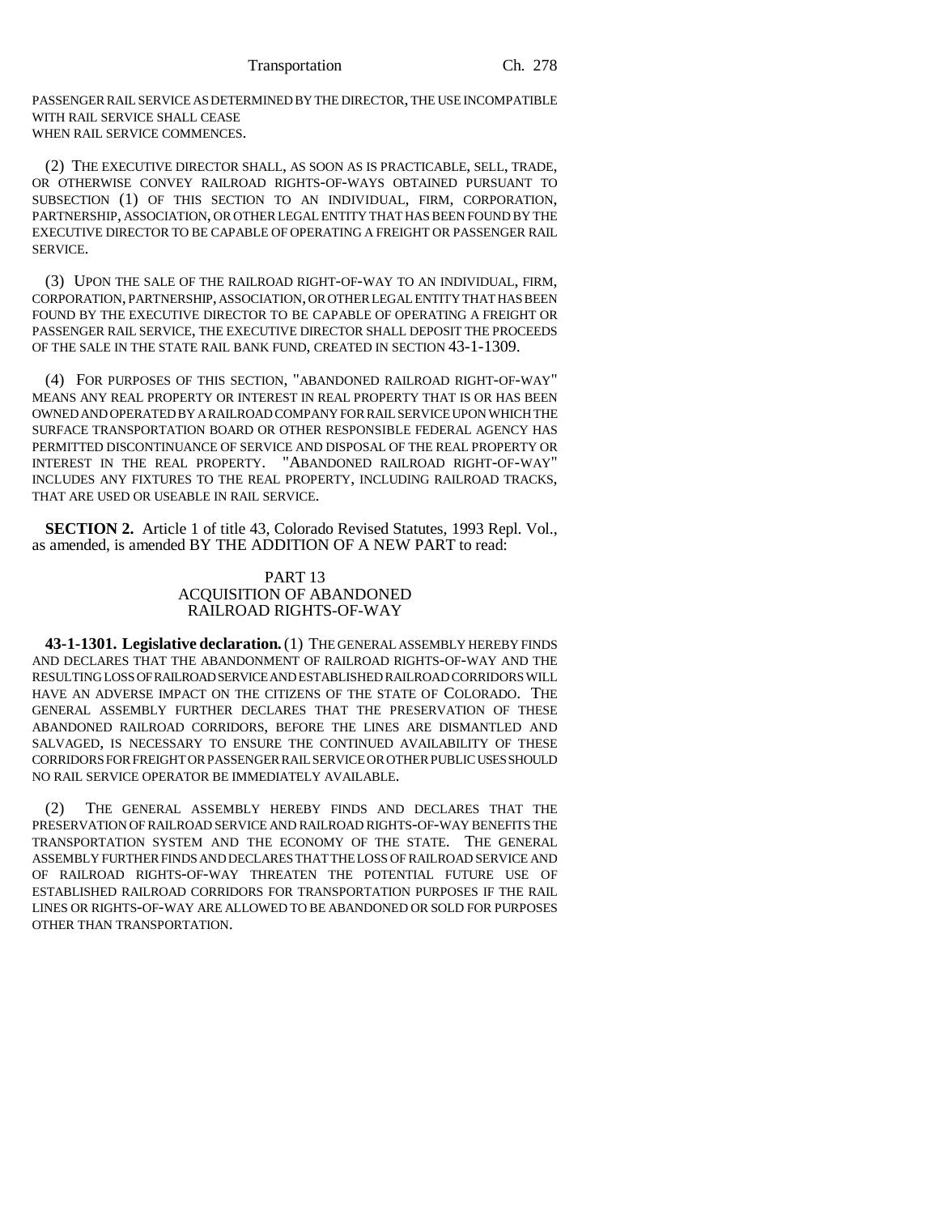Transportation Ch. 278

PASSENGER RAIL SERVICE AS DETERMINED BY THE DIRECTOR, THE USE INCOMPATIBLE WITH RAIL SERVICE SHALL CEASE WHEN RAIL SERVICE COMMENCES.

(2) THE EXECUTIVE DIRECTOR SHALL, AS SOON AS IS PRACTICABLE, SELL, TRADE, OR OTHERWISE CONVEY RAILROAD RIGHTS-OF-WAYS OBTAINED PURSUANT TO SUBSECTION (1) OF THIS SECTION TO AN INDIVIDUAL, FIRM, CORPORATION, PARTNERSHIP, ASSOCIATION, OR OTHER LEGAL ENTITY THAT HAS BEEN FOUND BY THE EXECUTIVE DIRECTOR TO BE CAPABLE OF OPERATING A FREIGHT OR PASSENGER RAIL SERVICE.

(3) UPON THE SALE OF THE RAILROAD RIGHT-OF-WAY TO AN INDIVIDUAL, FIRM, CORPORATION, PARTNERSHIP, ASSOCIATION, OR OTHER LEGAL ENTITY THAT HAS BEEN FOUND BY THE EXECUTIVE DIRECTOR TO BE CAPABLE OF OPERATING A FREIGHT OR PASSENGER RAIL SERVICE, THE EXECUTIVE DIRECTOR SHALL DEPOSIT THE PROCEEDS OF THE SALE IN THE STATE RAIL BANK FUND, CREATED IN SECTION 43-1-1309.

(4) FOR PURPOSES OF THIS SECTION, "ABANDONED RAILROAD RIGHT-OF-WAY" MEANS ANY REAL PROPERTY OR INTEREST IN REAL PROPERTY THAT IS OR HAS BEEN OWNED AND OPERATED BY A RAILROAD COMPANY FOR RAIL SERVICE UPON WHICH THE SURFACE TRANSPORTATION BOARD OR OTHER RESPONSIBLE FEDERAL AGENCY HAS PERMITTED DISCONTINUANCE OF SERVICE AND DISPOSAL OF THE REAL PROPERTY OR INTEREST IN THE REAL PROPERTY. "ABANDONED RAILROAD RIGHT-OF-WAY" INCLUDES ANY FIXTURES TO THE REAL PROPERTY, INCLUDING RAILROAD TRACKS, THAT ARE USED OR USEABLE IN RAIL SERVICE.

**SECTION 2.** Article 1 of title 43, Colorado Revised Statutes, 1993 Repl. Vol., as amended, is amended BY THE ADDITION OF A NEW PART to read:

## PART 13 ACQUISITION OF ABANDONED RAILROAD RIGHTS-OF-WAY

**43-1-1301. Legislative declaration.** (1) THE GENERAL ASSEMBLY HEREBY FINDS AND DECLARES THAT THE ABANDONMENT OF RAILROAD RIGHTS-OF-WAY AND THE RESULTING LOSS OF RAILROAD SERVICE AND ESTABLISHED RAILROAD CORRIDORS WILL HAVE AN ADVERSE IMPACT ON THE CITIZENS OF THE STATE OF COLORADO. THE GENERAL ASSEMBLY FURTHER DECLARES THAT THE PRESERVATION OF THESE ABANDONED RAILROAD CORRIDORS, BEFORE THE LINES ARE DISMANTLED AND SALVAGED, IS NECESSARY TO ENSURE THE CONTINUED AVAILABILITY OF THESE CORRIDORS FOR FREIGHT OR PASSENGER RAIL SERVICE OR OTHER PUBLIC USES SHOULD NO RAIL SERVICE OPERATOR BE IMMEDIATELY AVAILABLE.

(2) THE GENERAL ASSEMBLY HEREBY FINDS AND DECLARES THAT THE PRESERVATION OF RAILROAD SERVICE AND RAILROAD RIGHTS-OF-WAY BENEFITS THE TRANSPORTATION SYSTEM AND THE ECONOMY OF THE STATE. THE GENERAL ASSEMBLY FURTHER FINDS AND DECLARES THAT THE LOSS OF RAILROAD SERVICE AND OF RAILROAD RIGHTS-OF-WAY THREATEN THE POTENTIAL FUTURE USE OF ESTABLISHED RAILROAD CORRIDORS FOR TRANSPORTATION PURPOSES IF THE RAIL LINES OR RIGHTS-OF-WAY ARE ALLOWED TO BE ABANDONED OR SOLD FOR PURPOSES OTHER THAN TRANSPORTATION.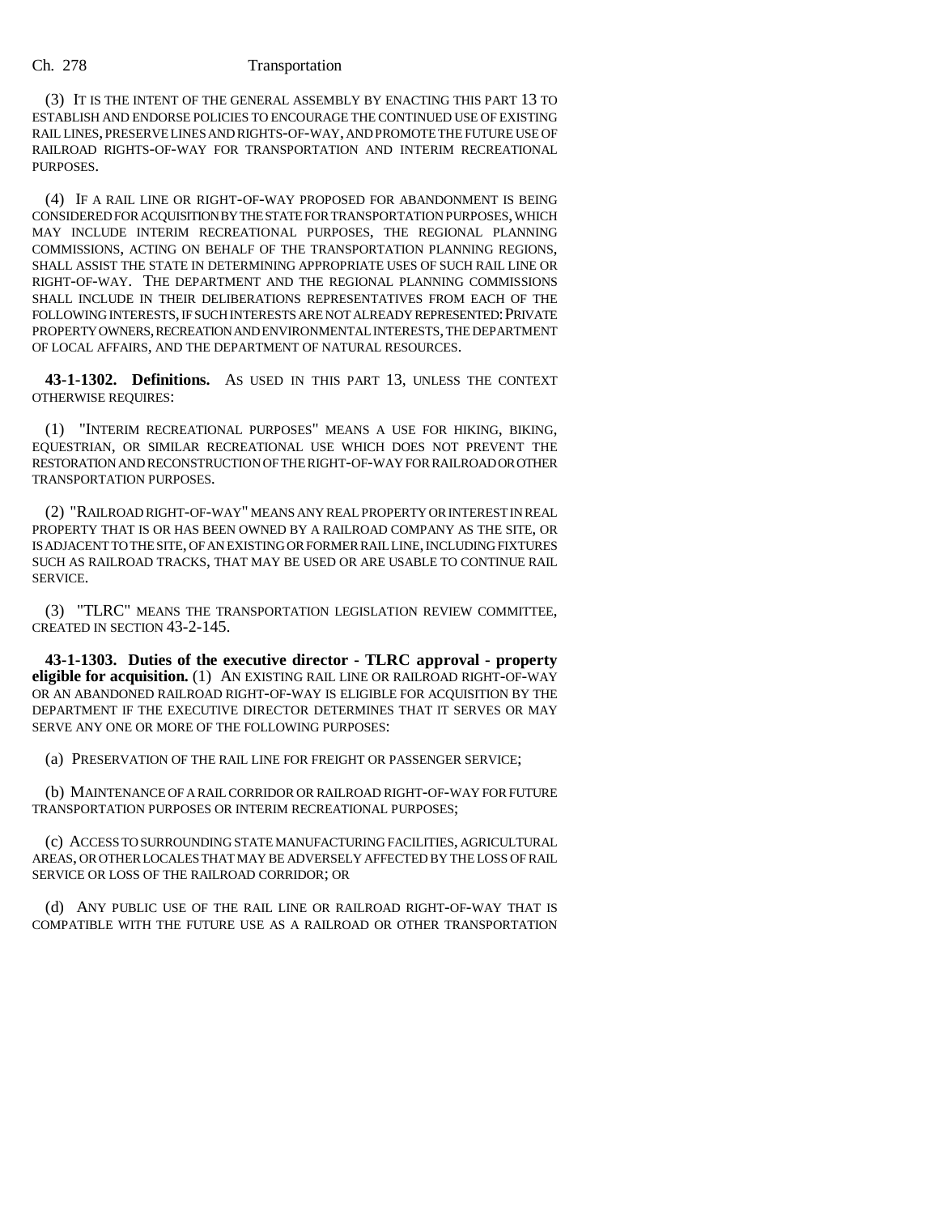### Ch. 278 Transportation

(3) IT IS THE INTENT OF THE GENERAL ASSEMBLY BY ENACTING THIS PART 13 TO ESTABLISH AND ENDORSE POLICIES TO ENCOURAGE THE CONTINUED USE OF EXISTING RAIL LINES, PRESERVE LINES AND RIGHTS-OF-WAY, AND PROMOTE THE FUTURE USE OF RAILROAD RIGHTS-OF-WAY FOR TRANSPORTATION AND INTERIM RECREATIONAL PURPOSES.

(4) IF A RAIL LINE OR RIGHT-OF-WAY PROPOSED FOR ABANDONMENT IS BEING CONSIDERED FOR ACQUISITION BY THE STATE FOR TRANSPORTATION PURPOSES, WHICH MAY INCLUDE INTERIM RECREATIONAL PURPOSES, THE REGIONAL PLANNING COMMISSIONS, ACTING ON BEHALF OF THE TRANSPORTATION PLANNING REGIONS, SHALL ASSIST THE STATE IN DETERMINING APPROPRIATE USES OF SUCH RAIL LINE OR RIGHT-OF-WAY. THE DEPARTMENT AND THE REGIONAL PLANNING COMMISSIONS SHALL INCLUDE IN THEIR DELIBERATIONS REPRESENTATIVES FROM EACH OF THE FOLLOWING INTERESTS, IF SUCH INTERESTS ARE NOT ALREADY REPRESENTED; PRIVATE PROPERTY OWNERS, RECREATION AND ENVIRONMENTAL INTERESTS, THE DEPARTMENT OF LOCAL AFFAIRS, AND THE DEPARTMENT OF NATURAL RESOURCES.

**43-1-1302. Definitions.** AS USED IN THIS PART 13, UNLESS THE CONTEXT OTHERWISE REQUIRES:

(1) "INTERIM RECREATIONAL PURPOSES" MEANS A USE FOR HIKING, BIKING, EQUESTRIAN, OR SIMILAR RECREATIONAL USE WHICH DOES NOT PREVENT THE RESTORATION AND RECONSTRUCTION OF THE RIGHT-OF-WAY FOR RAILROAD OR OTHER TRANSPORTATION PURPOSES.

(2) "RAILROAD RIGHT-OF-WAY" MEANS ANY REAL PROPERTY OR INTEREST IN REAL PROPERTY THAT IS OR HAS BEEN OWNED BY A RAILROAD COMPANY AS THE SITE, OR IS ADJACENT TO THE SITE, OF AN EXISTING OR FORMER RAIL LINE, INCLUDING FIXTURES SUCH AS RAILROAD TRACKS, THAT MAY BE USED OR ARE USABLE TO CONTINUE RAIL SERVICE.

(3) "TLRC" MEANS THE TRANSPORTATION LEGISLATION REVIEW COMMITTEE, CREATED IN SECTION 43-2-145.

**43-1-1303. Duties of the executive director - TLRC approval - property eligible for acquisition.** (1) AN EXISTING RAIL LINE OR RAILROAD RIGHT-OF-WAY OR AN ABANDONED RAILROAD RIGHT-OF-WAY IS ELIGIBLE FOR ACQUISITION BY THE DEPARTMENT IF THE EXECUTIVE DIRECTOR DETERMINES THAT IT SERVES OR MAY SERVE ANY ONE OR MORE OF THE FOLLOWING PURPOSES:

(a) PRESERVATION OF THE RAIL LINE FOR FREIGHT OR PASSENGER SERVICE;

(b) MAINTENANCE OF A RAIL CORRIDOR OR RAILROAD RIGHT-OF-WAY FOR FUTURE TRANSPORTATION PURPOSES OR INTERIM RECREATIONAL PURPOSES;

(c) ACCESS TO SURROUNDING STATE MANUFACTURING FACILITIES, AGRICULTURAL AREAS, OR OTHER LOCALES THAT MAY BE ADVERSELY AFFECTED BY THE LOSS OF RAIL SERVICE OR LOSS OF THE RAILROAD CORRIDOR; OR

(d) ANY PUBLIC USE OF THE RAIL LINE OR RAILROAD RIGHT-OF-WAY THAT IS COMPATIBLE WITH THE FUTURE USE AS A RAILROAD OR OTHER TRANSPORTATION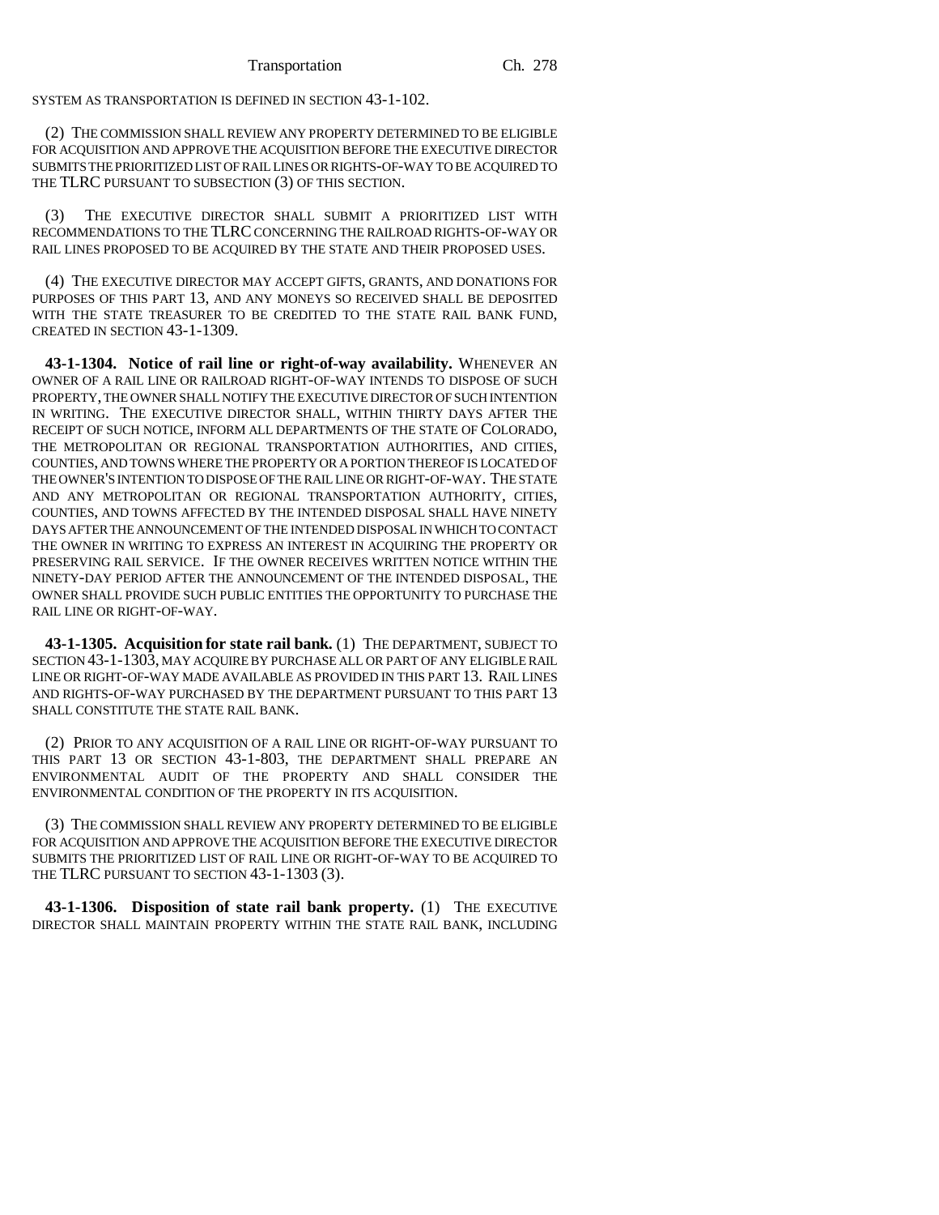SYSTEM AS TRANSPORTATION IS DEFINED IN SECTION 43-1-102.

(2) THE COMMISSION SHALL REVIEW ANY PROPERTY DETERMINED TO BE ELIGIBLE FOR ACQUISITION AND APPROVE THE ACQUISITION BEFORE THE EXECUTIVE DIRECTOR SUBMITS THE PRIORITIZED LIST OF RAIL LINES OR RIGHTS-OF-WAY TO BE ACQUIRED TO THE TLRC PURSUANT TO SUBSECTION (3) OF THIS SECTION.

(3) THE EXECUTIVE DIRECTOR SHALL SUBMIT A PRIORITIZED LIST WITH RECOMMENDATIONS TO THE TLRC CONCERNING THE RAILROAD RIGHTS-OF-WAY OR RAIL LINES PROPOSED TO BE ACQUIRED BY THE STATE AND THEIR PROPOSED USES.

(4) THE EXECUTIVE DIRECTOR MAY ACCEPT GIFTS, GRANTS, AND DONATIONS FOR PURPOSES OF THIS PART 13, AND ANY MONEYS SO RECEIVED SHALL BE DEPOSITED WITH THE STATE TREASURER TO BE CREDITED TO THE STATE RAIL BANK FUND, CREATED IN SECTION 43-1-1309.

**43-1-1304. Notice of rail line or right-of-way availability.** WHENEVER AN OWNER OF A RAIL LINE OR RAILROAD RIGHT-OF-WAY INTENDS TO DISPOSE OF SUCH PROPERTY, THE OWNER SHALL NOTIFY THE EXECUTIVE DIRECTOR OF SUCH INTENTION IN WRITING. THE EXECUTIVE DIRECTOR SHALL, WITHIN THIRTY DAYS AFTER THE RECEIPT OF SUCH NOTICE, INFORM ALL DEPARTMENTS OF THE STATE OF COLORADO, THE METROPOLITAN OR REGIONAL TRANSPORTATION AUTHORITIES, AND CITIES, COUNTIES, AND TOWNS WHERE THE PROPERTY OR A PORTION THEREOF IS LOCATED OF THE OWNER'S INTENTION TO DISPOSE OF THE RAIL LINE OR RIGHT-OF-WAY. THE STATE AND ANY METROPOLITAN OR REGIONAL TRANSPORTATION AUTHORITY, CITIES, COUNTIES, AND TOWNS AFFECTED BY THE INTENDED DISPOSAL SHALL HAVE NINETY DAYS AFTER THE ANNOUNCEMENT OF THE INTENDED DISPOSAL IN WHICH TO CONTACT THE OWNER IN WRITING TO EXPRESS AN INTEREST IN ACQUIRING THE PROPERTY OR PRESERVING RAIL SERVICE. IF THE OWNER RECEIVES WRITTEN NOTICE WITHIN THE NINETY-DAY PERIOD AFTER THE ANNOUNCEMENT OF THE INTENDED DISPOSAL, THE OWNER SHALL PROVIDE SUCH PUBLIC ENTITIES THE OPPORTUNITY TO PURCHASE THE RAIL LINE OR RIGHT-OF-WAY.

**43-1-1305. Acquisition for state rail bank.** (1) THE DEPARTMENT, SUBJECT TO SECTION 43-1-1303, MAY ACQUIRE BY PURCHASE ALL OR PART OF ANY ELIGIBLE RAIL LINE OR RIGHT-OF-WAY MADE AVAILABLE AS PROVIDED IN THIS PART 13. RAIL LINES AND RIGHTS-OF-WAY PURCHASED BY THE DEPARTMENT PURSUANT TO THIS PART 13 SHALL CONSTITUTE THE STATE RAIL BANK.

(2) PRIOR TO ANY ACQUISITION OF A RAIL LINE OR RIGHT-OF-WAY PURSUANT TO THIS PART 13 OR SECTION 43-1-803, THE DEPARTMENT SHALL PREPARE AN ENVIRONMENTAL AUDIT OF THE PROPERTY AND SHALL CONSIDER THE ENVIRONMENTAL CONDITION OF THE PROPERTY IN ITS ACQUISITION.

(3) THE COMMISSION SHALL REVIEW ANY PROPERTY DETERMINED TO BE ELIGIBLE FOR ACQUISITION AND APPROVE THE ACQUISITION BEFORE THE EXECUTIVE DIRECTOR SUBMITS THE PRIORITIZED LIST OF RAIL LINE OR RIGHT-OF-WAY TO BE ACQUIRED TO THE TLRC PURSUANT TO SECTION 43-1-1303 (3).

**43-1-1306. Disposition of state rail bank property.** (1) THE EXECUTIVE DIRECTOR SHALL MAINTAIN PROPERTY WITHIN THE STATE RAIL BANK, INCLUDING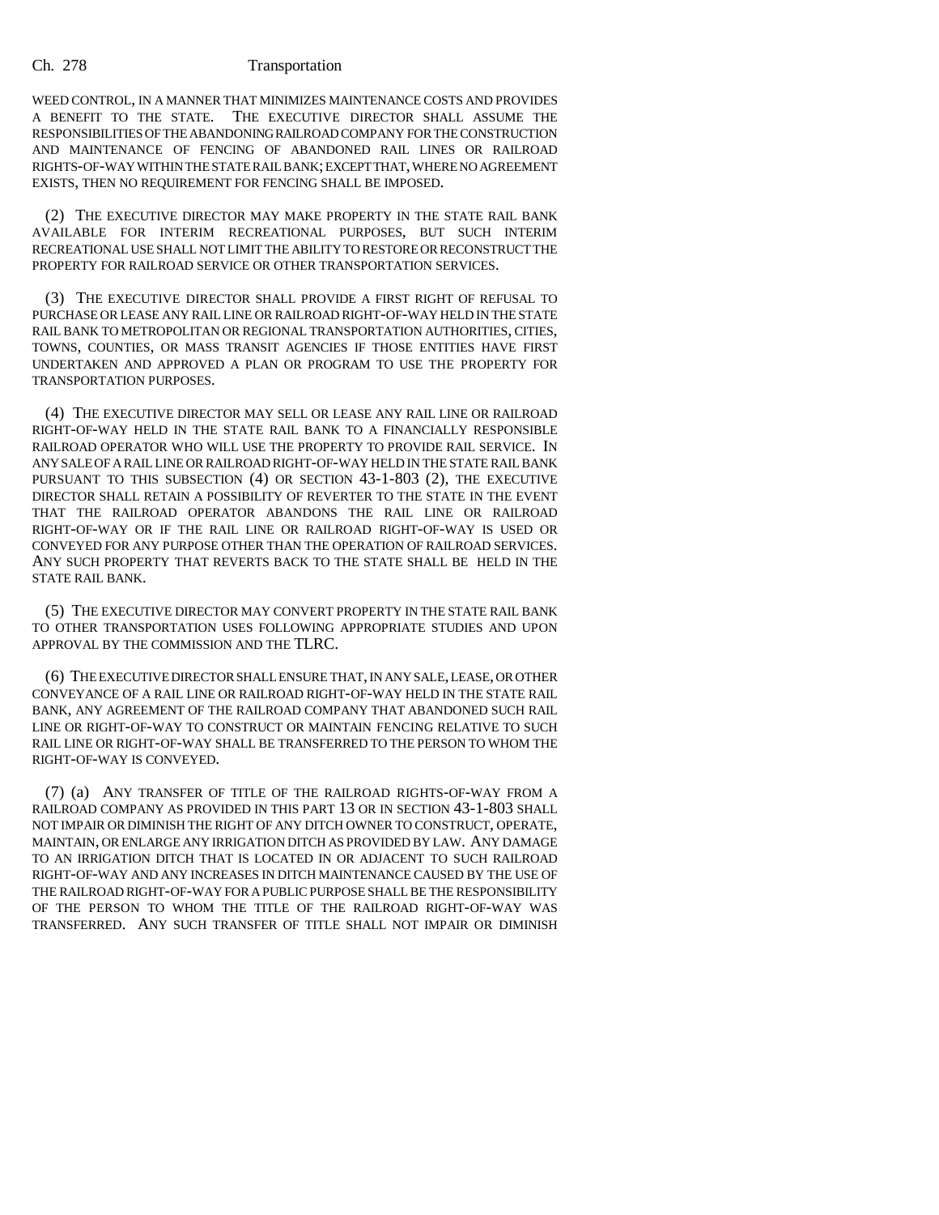### Ch. 278 Transportation

WEED CONTROL, IN A MANNER THAT MINIMIZES MAINTENANCE COSTS AND PROVIDES A BENEFIT TO THE STATE. THE EXECUTIVE DIRECTOR SHALL ASSUME THE RESPONSIBILITIES OF THE ABANDONING RAILROAD COMPANY FOR THE CONSTRUCTION AND MAINTENANCE OF FENCING OF ABANDONED RAIL LINES OR RAILROAD RIGHTS-OF-WAY WITHIN THE STATE RAIL BANK; EXCEPT THAT, WHERE NO AGREEMENT EXISTS, THEN NO REQUIREMENT FOR FENCING SHALL BE IMPOSED.

(2) THE EXECUTIVE DIRECTOR MAY MAKE PROPERTY IN THE STATE RAIL BANK AVAILABLE FOR INTERIM RECREATIONAL PURPOSES, BUT SUCH INTERIM RECREATIONAL USE SHALL NOT LIMIT THE ABILITY TO RESTORE OR RECONSTRUCT THE PROPERTY FOR RAILROAD SERVICE OR OTHER TRANSPORTATION SERVICES.

(3) THE EXECUTIVE DIRECTOR SHALL PROVIDE A FIRST RIGHT OF REFUSAL TO PURCHASE OR LEASE ANY RAIL LINE OR RAILROAD RIGHT-OF-WAY HELD IN THE STATE RAIL BANK TO METROPOLITAN OR REGIONAL TRANSPORTATION AUTHORITIES, CITIES, TOWNS, COUNTIES, OR MASS TRANSIT AGENCIES IF THOSE ENTITIES HAVE FIRST UNDERTAKEN AND APPROVED A PLAN OR PROGRAM TO USE THE PROPERTY FOR TRANSPORTATION PURPOSES.

(4) THE EXECUTIVE DIRECTOR MAY SELL OR LEASE ANY RAIL LINE OR RAILROAD RIGHT-OF-WAY HELD IN THE STATE RAIL BANK TO A FINANCIALLY RESPONSIBLE RAILROAD OPERATOR WHO WILL USE THE PROPERTY TO PROVIDE RAIL SERVICE. IN ANY SALE OF A RAIL LINE OR RAILROAD RIGHT-OF-WAY HELD IN THE STATE RAIL BANK PURSUANT TO THIS SUBSECTION (4) OR SECTION 43-1-803 (2), THE EXECUTIVE DIRECTOR SHALL RETAIN A POSSIBILITY OF REVERTER TO THE STATE IN THE EVENT THAT THE RAILROAD OPERATOR ABANDONS THE RAIL LINE OR RAILROAD RIGHT-OF-WAY OR IF THE RAIL LINE OR RAILROAD RIGHT-OF-WAY IS USED OR CONVEYED FOR ANY PURPOSE OTHER THAN THE OPERATION OF RAILROAD SERVICES. ANY SUCH PROPERTY THAT REVERTS BACK TO THE STATE SHALL BE HELD IN THE STATE RAIL BANK.

(5) THE EXECUTIVE DIRECTOR MAY CONVERT PROPERTY IN THE STATE RAIL BANK TO OTHER TRANSPORTATION USES FOLLOWING APPROPRIATE STUDIES AND UPON APPROVAL BY THE COMMISSION AND THE TLRC.

(6) THE EXECUTIVE DIRECTOR SHALL ENSURE THAT, IN ANY SALE, LEASE, OR OTHER CONVEYANCE OF A RAIL LINE OR RAILROAD RIGHT-OF-WAY HELD IN THE STATE RAIL BANK, ANY AGREEMENT OF THE RAILROAD COMPANY THAT ABANDONED SUCH RAIL LINE OR RIGHT-OF-WAY TO CONSTRUCT OR MAINTAIN FENCING RELATIVE TO SUCH RAIL LINE OR RIGHT-OF-WAY SHALL BE TRANSFERRED TO THE PERSON TO WHOM THE RIGHT-OF-WAY IS CONVEYED.

(7) (a) ANY TRANSFER OF TITLE OF THE RAILROAD RIGHTS-OF-WAY FROM A RAILROAD COMPANY AS PROVIDED IN THIS PART 13 OR IN SECTION 43-1-803 SHALL NOT IMPAIR OR DIMINISH THE RIGHT OF ANY DITCH OWNER TO CONSTRUCT, OPERATE, MAINTAIN, OR ENLARGE ANY IRRIGATION DITCH AS PROVIDED BY LAW. ANY DAMAGE TO AN IRRIGATION DITCH THAT IS LOCATED IN OR ADJACENT TO SUCH RAILROAD RIGHT-OF-WAY AND ANY INCREASES IN DITCH MAINTENANCE CAUSED BY THE USE OF THE RAILROAD RIGHT-OF-WAY FOR A PUBLIC PURPOSE SHALL BE THE RESPONSIBILITY OF THE PERSON TO WHOM THE TITLE OF THE RAILROAD RIGHT-OF-WAY WAS TRANSFERRED. ANY SUCH TRANSFER OF TITLE SHALL NOT IMPAIR OR DIMINISH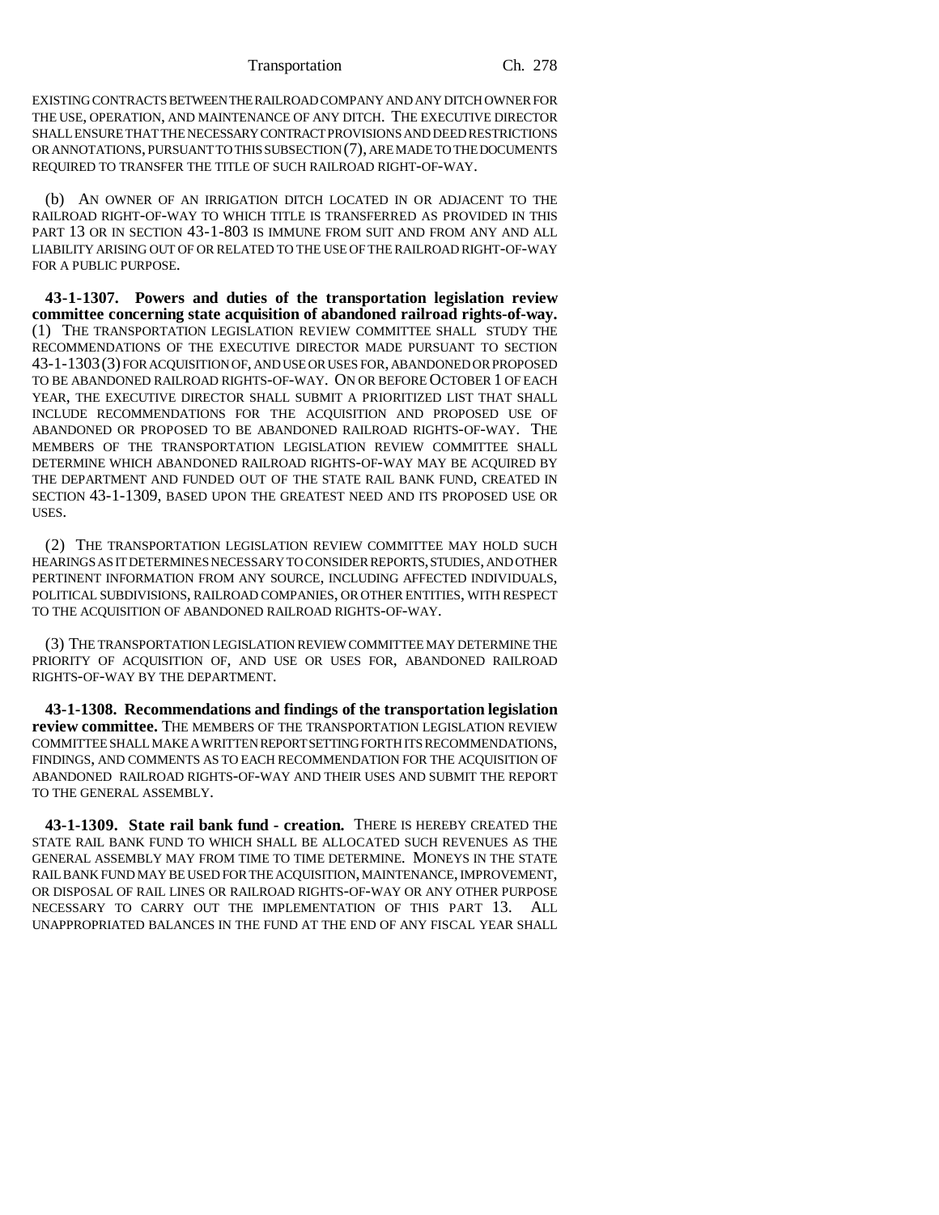EXISTING CONTRACTS BETWEEN THE RAILROAD COMPANY AND ANY DITCH OWNER FOR THE USE, OPERATION, AND MAINTENANCE OF ANY DITCH. THE EXECUTIVE DIRECTOR SHALL ENSURE THAT THE NECESSARY CONTRACT PROVISIONS AND DEED RESTRICTIONS OR ANNOTATIONS, PURSUANT TO THIS SUBSECTION (7), ARE MADE TO THE DOCUMENTS REQUIRED TO TRANSFER THE TITLE OF SUCH RAILROAD RIGHT-OF-WAY.

(b) AN OWNER OF AN IRRIGATION DITCH LOCATED IN OR ADJACENT TO THE RAILROAD RIGHT-OF-WAY TO WHICH TITLE IS TRANSFERRED AS PROVIDED IN THIS PART 13 OR IN SECTION 43-1-803 IS IMMUNE FROM SUIT AND FROM ANY AND ALL LIABILITY ARISING OUT OF OR RELATED TO THE USE OF THE RAILROAD RIGHT-OF-WAY FOR A PUBLIC PURPOSE.

**43-1-1307. Powers and duties of the transportation legislation review committee concerning state acquisition of abandoned railroad rights-of-way.** (1) THE TRANSPORTATION LEGISLATION REVIEW COMMITTEE SHALL STUDY THE RECOMMENDATIONS OF THE EXECUTIVE DIRECTOR MADE PURSUANT TO SECTION 43-1-1303(3) FOR ACQUISITION OF, AND USE OR USES FOR, ABANDONED OR PROPOSED TO BE ABANDONED RAILROAD RIGHTS-OF-WAY. ON OR BEFORE OCTOBER 1 OF EACH YEAR, THE EXECUTIVE DIRECTOR SHALL SUBMIT A PRIORITIZED LIST THAT SHALL INCLUDE RECOMMENDATIONS FOR THE ACQUISITION AND PROPOSED USE OF ABANDONED OR PROPOSED TO BE ABANDONED RAILROAD RIGHTS-OF-WAY. THE MEMBERS OF THE TRANSPORTATION LEGISLATION REVIEW COMMITTEE SHALL DETERMINE WHICH ABANDONED RAILROAD RIGHTS-OF-WAY MAY BE ACQUIRED BY THE DEPARTMENT AND FUNDED OUT OF THE STATE RAIL BANK FUND, CREATED IN SECTION 43-1-1309, BASED UPON THE GREATEST NEED AND ITS PROPOSED USE OR USES.

(2) THE TRANSPORTATION LEGISLATION REVIEW COMMITTEE MAY HOLD SUCH HEARINGS AS IT DETERMINES NECESSARY TO CONSIDER REPORTS, STUDIES, AND OTHER PERTINENT INFORMATION FROM ANY SOURCE, INCLUDING AFFECTED INDIVIDUALS, POLITICAL SUBDIVISIONS, RAILROAD COMPANIES, OR OTHER ENTITIES, WITH RESPECT TO THE ACQUISITION OF ABANDONED RAILROAD RIGHTS-OF-WAY.

(3) THE TRANSPORTATION LEGISLATION REVIEW COMMITTEE MAY DETERMINE THE PRIORITY OF ACQUISITION OF, AND USE OR USES FOR, ABANDONED RAILROAD RIGHTS-OF-WAY BY THE DEPARTMENT.

**43-1-1308. Recommendations and findings of the transportation legislation review committee.** THE MEMBERS OF THE TRANSPORTATION LEGISLATION REVIEW COMMITTEE SHALL MAKE A WRITTEN REPORT SETTING FORTH ITS RECOMMENDATIONS, FINDINGS, AND COMMENTS AS TO EACH RECOMMENDATION FOR THE ACQUISITION OF ABANDONED RAILROAD RIGHTS-OF-WAY AND THEIR USES AND SUBMIT THE REPORT TO THE GENERAL ASSEMBLY.

**43-1-1309. State rail bank fund - creation.** THERE IS HEREBY CREATED THE STATE RAIL BANK FUND TO WHICH SHALL BE ALLOCATED SUCH REVENUES AS THE GENERAL ASSEMBLY MAY FROM TIME TO TIME DETERMINE. MONEYS IN THE STATE RAIL BANK FUND MAY BE USED FOR THE ACQUISITION, MAINTENANCE, IMPROVEMENT, OR DISPOSAL OF RAIL LINES OR RAILROAD RIGHTS-OF-WAY OR ANY OTHER PURPOSE NECESSARY TO CARRY OUT THE IMPLEMENTATION OF THIS PART 13. ALL UNAPPROPRIATED BALANCES IN THE FUND AT THE END OF ANY FISCAL YEAR SHALL